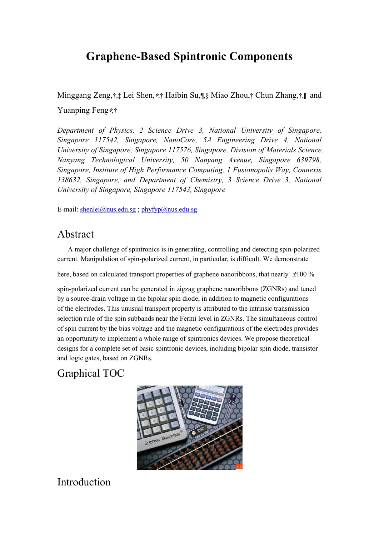# **Graphene-Based Spintronic Components**

Minggang Zeng,†,‡ Lei Shen,∗,† Haibin Su,¶,§ Miao Zhou,† Chun Zhang,†,∥ and Yuanping Feng∗,†

*Department of Physics, 2 Science Drive 3, National University of Singapore, Singapore 117542, Singapore, NanoCore, 5A Engineering Drive 4, National University of Singapore, Singapore 117576, Singapore, Division of Materials Science, Nanyang Technological University, 50 Nanyang Avenue, Singapore 639798, Singapore, Institute of High Performance Computing, 1 Fusionopolis Way, Connexis 138632, Singapore, and Department of Chemistry, 3 Science Drive 3, National University of Singapore, Singapore 117543, Singapore*

E-mail[: shenlei@nus.edu.sg](mailto:shenlei@nus.edu.sg) ; [phyfyp@nus.edu.sg](mailto:phyfyp@nus.edu.sg)

### Abstract

A major challenge of spintronics is in generating, controlling and detecting spin-polarized current. Manipulation of spin-polarized current, in particular, is difficult. We demonstrate

here, based on calculated transport properties of graphene nanoribbons, that nearly  $\pm 100\%$ 

spin-polarized current can be generated in zigzag graphene nanoribbons (ZGNRs) and tuned by a source-drain voltage in the bipolar spin diode, in addition to magnetic configurations of the electrodes. This unusual transport property is attributed to the intrinsic transmission selection rule of the spin subbands near the Fermi level in ZGNRs. The simultaneous control of spin current by the bias voltage and the magnetic configurations of the electrodes provides an opportunity to implement a whole range of spintronics devices. We propose theoretical designs for a complete set of basic spintronic devices, including bipolar spin diode, transistor and logic gates, based on ZGNRs.

## Graphical TOC



## Introduction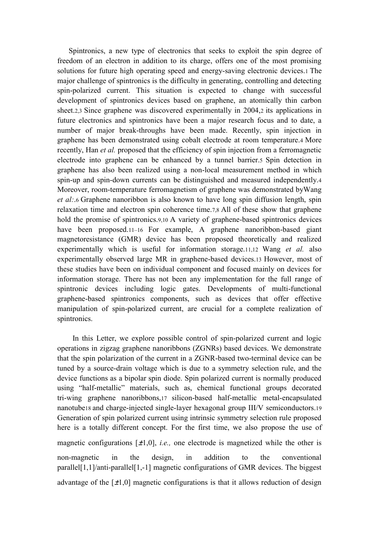Spintronics, a new type of electronics that seeks to exploit the spin degree of freedom of an electron in addition to its charge, offers one of the most promising solutions for future high operating speed and energy-saving electronic devices.1 The major challenge of spintronics is the difficulty in generating, controlling and detecting spin-polarized current. This situation is expected to change with successful development of spintronics devices based on graphene, an atomically thin carbon sheet.2,3 Since graphene was discovered experimentally in 2004,2 its applications in future electronics and spintronics have been a major research focus and to date, a number of major break-throughs have been made. Recently, spin injection in graphene has been demonstrated using cobalt electrode at room temperature.4 More recently. Han *et al.* proposed that the efficiency of spin injection from a ferromagnetic electrode into graphene can be enhanced by a tunnel barrier.5 Spin detection in graphene has also been realized using a non-local measurement method in which spin-up and spin-down currents can be distinguished and measured independently.4 Moreover, room-temperature ferromagnetism of graphene was demonstrated byWang *et al:*.6 Graphene nanoribbon is also known to have long spin diffusion length, spin relaxation time and electron spin coherence time.7,8 All of these show that graphene hold the promise of spintronics.9,10 A variety of graphene-based spintronics devices have been proposed.11–16 For example, A graphene nanoribbon-based giant magnetoresistance (GMR) device has been proposed theoretically and realized experimentally which is useful for information storage.11,12 Wang *et al.* also experimentally observed large MR in graphene-based devices.13 However, most of these studies have been on individual component and focused mainly on devices for information storage. There has not been any implementation for the full range of spintronic devices including logic gates. Developments of multi-functional graphene-based spintronics components, such as devices that offer effective manipulation of spin-polarized current, are crucial for a complete realization of spintronics.

In this Letter, we explore possible control of spin-polarized current and logic operations in zigzag graphene nanoribbons (ZGNRs) based devices. We demonstrate that the spin polarization of the current in a ZGNR-based two-terminal device can be tuned by a source-drain voltage which is due to a symmetry selection rule, and the device functions as a bipolar spin diode. Spin polarized current is normally produced using "half-metallic" materials, such as, chemical functional groups decorated tri-wing graphene nanoribbons,17 silicon-based half-metallic metal-encapsulated nanotube18 and charge-injected single-layer hexagonal group III/V semiconductors.19 Generation of spin polarized current using intrinsic symmetry selection rule proposed here is a totally different concept. For the first time, we also propose the use of magnetic configurations  $[\pm 1, 0]$ , *i.e.*, one electrode is magnetized while the other is non-magnetic in the design, in addition to the conventional parallel[1,1]/anti-parallel[1,-1] magnetic configurations of GMR devices. The biggest advantage of the  $[\pm 1, 0]$  magnetic configurations is that it allows reduction of design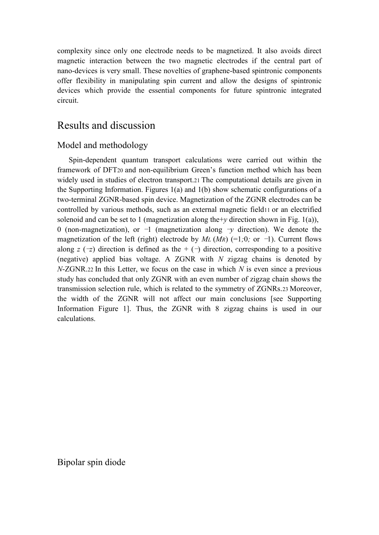complexity since only one electrode needs to be magnetized. It also avoids direct magnetic interaction between the two magnetic electrodes if the central part of nano-devices is very small. These novelties of graphene-based spintronic components offer flexibility in manipulating spin current and allow the designs of spintronic devices which provide the essential components for future spintronic integrated circuit.

### Results and discussion

#### Model and methodology

Spin-dependent quantum transport calculations were carried out within the framework of DFT20 and non-equilibrium Green's function method which has been widely used in studies of electron transport.21 The computational details are given in the Supporting Information. Figures 1(a) and 1(b) show schematic configurations of a two-terminal ZGNR-based spin device. Magnetization of the ZGNR electrodes can be controlled by various methods, such as an external magnetic field11 or an electrified solenoid and can be set to 1 (magnetization along the+*y* direction shown in Fig. 1(a)), 0 (non-magnetization), or −1 (magnetization along −*y* direction). We denote the magnetization of the left (right) electrode by  $ML(MR)$  (=1*;*0*;* or -1). Current flows along *z* ( $\overline{z}$ ) direction is defined as the + ( $\overline{z}$ ) direction, corresponding to a positive (negative) applied bias voltage. A ZGNR with *N* zigzag chains is denoted by *N*-ZGNR.22 In this Letter, we focus on the case in which *N* is even since a previous study has concluded that only ZGNR with an even number of zigzag chain shows the transmission selection rule, which is related to the symmetry of ZGNRs.23 Moreover, the width of the ZGNR will not affect our main conclusions [see Supporting Information Figure 1]. Thus, the ZGNR with 8 zigzag chains is used in our calculations.

Bipolar spin diode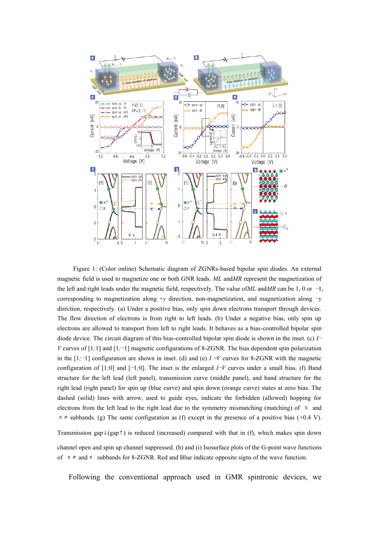

Figure 1: (Color online) Schematic diagram of ZGNRs-based bipolar spin diodes. An external magnetic field is used to magnetize one or both GNR leads. *ML* and*MR* represent the magnetization of the left and right leads under the magnetic field, respectively. The value of*ML* and*MR* can be 1, 0 or −1, corresponding to magnetization along +*y* direction, non-magnetization, and magnetization along −*y*  direction, respectively. (a) Under a positive bias, only spin down electrons transport through devices. The flow direction of electrons is from right to left leads. (b) Under a negative bias, only spin up electrons are allowed to transport from left to right leads. It behaves as a bias-controlled bipolar spin diode device. The circuit diagram of this bias-controlled bipolar spin diode is shown in the inset. (c) *I*<sup>−</sup> *V* curves of [1*;*1] and [1*;*−1] magnetic configurations of 8-ZGNR. The bias dependent spin polarization in the [1*;*−1] configuration are shown in inset. (d) and (e) *I* –*V* curves for 8-ZGNR with the magnetic configuration of [1*;*0] and [−1*;*0]. The inset is the enlarged *I*−*V* curves under a small bias. (f) Band structure for the left lead (left panel), transmission curve (middle panel), and band structure for the right lead (right panel) for spin up (blue curve) and spin down (orange curve) states at zero bias. The dashed (solid) lines with arrow, used to guide eyes, indicate the forbidden (allowed) hopping for electrons from the left lead to the right lead due to the symmetry mismatching (matching) of  $\pi$  and π<sup>∗</sup> subbands. (g) The same configuration as (f) except in the presence of a positive bias (+0.4 V).

Transmission gap  $\downarrow$  (gap  $\uparrow$ ) is reduced (increased) compared with that in (f), which makes spin down

channel open and spin up channel suppressed. (h) and (i) Isosurface plots of the G-point wave functions of  $\pi *$  and  $\pi$  subbands for 8-ZGNR. Red and Blue indicate opposite signs of the wave function.

Following the conventional approach used in GMR spintronic devices, we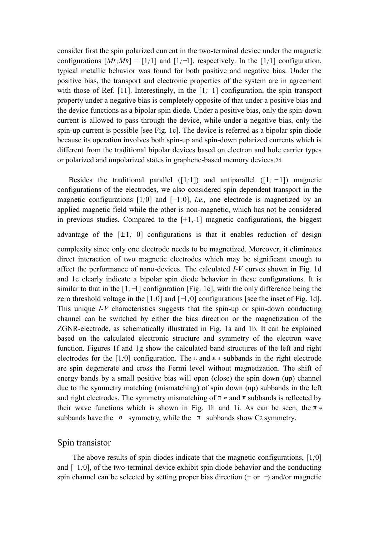consider first the spin polarized current in the two-terminal device under the magnetic configurations  $[M_L; M_R] = [1, 1]$  and  $[1, -1]$ , respectively. In the [1,1] configuration, typical metallic behavior was found for both positive and negative bias. Under the positive bias, the transport and electronic properties of the system are in agreement with those of Ref. [11]. Interestingly, in the [1*;*−1] configuration, the spin transport property under a negative bias is completely opposite of that under a positive bias and the device functions as a bipolar spin diode. Under a positive bias, only the spin-down current is allowed to pass through the device, while under a negative bias, only the spin-up current is possible [see Fig. 1c]. The device is referred as a bipolar spin diode because its operation involves both spin-up and spin-down polarized currents which is different from the traditional bipolar devices based on electron and hole carrier types or polarized and unpolarized states in graphene-based memory devices.24

Besides the traditional parallel  $([1,1])$  and antiparallel  $([1,-1])$  magnetic configurations of the electrodes, we also considered spin dependent transport in the magnetic configurations [1*;*0] and [−1*;*0], *i.e.,* one electrode is magnetized by an applied magnetic field while the other is non-magnetic, which has not be considered in previous studies. Compared to the  $[+1,-1]$  magnetic configurations, the biggest advantage of the  $[\pm 1; 0]$  configurations is that it enables reduction of design complexity since only one electrode needs to be magnetized. Moreover, it eliminates direct interaction of two magnetic electrodes which may be significant enough to affect the performance of nano-devices. The calculated *I*-*V* curves shown in Fig. 1d and 1e clearly indicate a bipolar spin diode behavior in these configurations. It is similar to that in the [1;−1] configuration [Fig. 1c], with the only difference being the zero threshold voltage in the [1*;*0] and [−1*;*0] configurations [see the inset of Fig. 1d]. This unique *I*-*V* characteristics suggests that the spin-up or spin-down conducting channel can be switched by either the bias direction or the magnetization of the ZGNR-electrode, as schematically illustrated in Fig. 1a and 1b. It can be explained based on the calculated electronic structure and symmetry of the electron wave function. Figures 1f and 1g show the calculated band structures of the left and right electrodes for the [1*;*0] configuration. The  $\pi$  and  $\pi$  \* subbands in the right electrode are spin degenerate and cross the Fermi level without magnetization. The shift of energy bands by a small positive bias will open (close) the spin down (up) channel due to the symmetry matching (mismatching) of spin down (up) subbands in the left and right electrodes. The symmetry mismatching of  $\pi *$  and  $\pi$  subbands is reflected by their wave functions which is shown in Fig. 1h and 1i. As can be seen, the  $\pi *$ subbands have the  $\sigma$  symmetry, while the  $\pi$  subbands show C2 symmetry.

#### Spin transistor

The above results of spin diodes indicate that the magnetic configurations, [1*;*0] and [−1*;*0], of the two-terminal device exhibit spin diode behavior and the conducting spin channel can be selected by setting proper bias direction (+ or −) and/or magnetic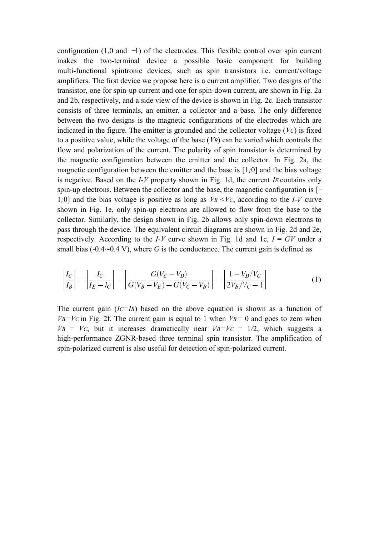configuration (1,0 and −1) of the electrodes. This flexible control over spin current makes the two-terminal device a possible basic component for building multi-functional spintronic devices, such as spin transistors i.e. current/voltage amplifiers. The first device we propose here is a current amplifier. Two designs of the transistor, one for spin-up current and one for spin-down current, are shown in Fig. 2a and 2b, respectively, and a side view of the device is shown in Fig. 2c. Each transistor consists of three terminals, an emitter, a collector and a base. The only difference between the two designs is the magnetic configurations of the electrodes which are indicated in the figure. The emitter is grounded and the collector voltage (*VC*) is fixed to a positive value, while the voltage of the base (*VB*) can be varied which controls the flow and polarization of the current. The polarity of spin transistor is determined by the magnetic configuration between the emitter and the collector. In Fig. 2a, the magnetic configuration between the emitter and the base is [1*;*0] and the bias voltage is negative. Based on the *I*-*V* property shown in Fig. 1d, the current *IE* contains only spin-up electrons. Between the collector and the base, the magnetic configuration is [− 1*;*0] and the bias voltage is positive as long as *VB <VC*, according to the *I*-*V* curve shown in Fig. 1e, only spin-up electrons are allowed to flow from the base to the collector. Similarly, the design shown in Fig. 2b allows only spin-down electrons to pass through the device. The equivalent circuit diagrams are shown in Fig. 2d and 2e, respectively. According to the *I-V* curve shown in Fig. 1d and 1e,  $I = GV$  under a small bias (-0.4∼0.4 V), where *G* is the conductance. The current gain is defined as

$$
\left| \frac{I_C}{I_B} \right| = \left| \frac{I_C}{I_E - I_C} \right| = \left| \frac{G(V_C - V_B)}{G(V_B - V_E) - G(V_C - V_B)} \right| = \left| \frac{1 - V_B/V_C}{2V_B/V_C - 1} \right| \tag{1}
$$

The current gain  $(IC = IB)$  based on the above equation is shown as a function of  $V_B = V_C$  in Fig. 2f. The current gain is equal to 1 when  $V_B = 0$  and goes to zero when  $V_B = V_C$ , but it increases dramatically near  $V_B = V_C = 1/2$ , which suggests a high-performance ZGNR-based three terminal spin transistor. The amplification of spin-polarized current is also useful for detection of spin-polarized current.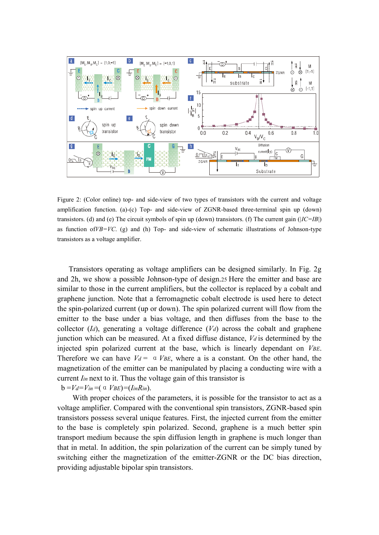

Figure 2: (Color online) top- and side-view of two types of transistors with the current and voltage amplification function. (a)-(c) Top- and side-view of ZGNR-based three-terminal spin up (down) transistors. (d) and (e) The circuit symbols of spin up (down) transistors. (f) The current gain (|*IC=IB*|) as function of  $V\mathcal{B}=V\mathcal{C}$ . (g) and (h) Top- and side-view of schematic illustrations of Johnson-type transistors as a voltage amplifier.

Transistors operating as voltage amplifiers can be designed similarly. In Fig. 2g and 2h, we show a possible Johnson-type of design.25 Here the emitter and base are similar to those in the current amplifiers, but the collector is replaced by a cobalt and graphene junction. Note that a ferromagnetic cobalt electrode is used here to detect the spin-polarized current (up or down). The spin polarized current will flow from the emitter to the base under a bias voltage, and then diffuses from the base to the collector (*Id*), generating a voltage difference (*Vd*) across the cobalt and graphene junction which can be measured. At a fixed diffuse distance, *Vd* is determined by the injected spin polarized current at the base, which is linearly dependant on *VBE*. Therefore we can have  $V_d = \alpha V_{BE}$ , where a is a constant. On the other hand, the magnetization of the emitter can be manipulated by placing a conducting wire with a current *Iin* next to it. Thus the voltage gain of this transistor is

#### $b = V_d = V_{in} = (a \text{ } V_{BE}) = (I_{in}R_{in}).$

With proper choices of the parameters, it is possible for the transistor to act as a voltage amplifier. Compared with the conventional spin transistors, ZGNR-based spin transistors possess several unique features. First, the injected current from the emitter to the base is completely spin polarized. Second, graphene is a much better spin transport medium because the spin diffusion length in graphene is much longer than that in metal. In addition, the spin polarization of the current can be simply tuned by switching either the magnetization of the emitter-ZGNR or the DC bias direction, providing adjustable bipolar spin transistors.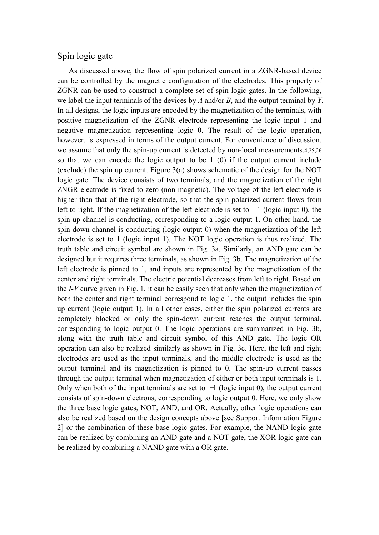#### Spin logic gate

As discussed above, the flow of spin polarized current in a ZGNR-based device can be controlled by the magnetic configuration of the electrodes. This property of ZGNR can be used to construct a complete set of spin logic gates. In the following, we label the input terminals of the devices by *A* and/or *B*, and the output terminal by *Y*. In all designs, the logic inputs are encoded by the magnetization of the terminals, with positive magnetization of the ZGNR electrode representing the logic input 1 and negative magnetization representing logic 0. The result of the logic operation, however, is expressed in terms of the output current. For convenience of discussion, we assume that only the spin-up current is detected by non-local measurements,4,25,26 so that we can encode the logic output to be 1 (0) if the output current include (exclude) the spin up current. Figure 3(a) shows schematic of the design for the NOT logic gate. The device consists of two terminals, and the magnetization of the right ZNGR electrode is fixed to zero (non-magnetic). The voltage of the left electrode is higher than that of the right electrode, so that the spin polarized current flows from left to right. If the magnetization of the left electrode is set to −1 (logic input 0), the spin-up channel is conducting, corresponding to a logic output 1. On other hand, the spin-down channel is conducting (logic output 0) when the magnetization of the left electrode is set to 1 (logic input 1). The NOT logic operation is thus realized. The truth table and circuit symbol are shown in Fig. 3a. Similarly, an AND gate can be designed but it requires three terminals, as shown in Fig. 3b. The magnetization of the left electrode is pinned to 1, and inputs are represented by the magnetization of the center and right terminals. The electric potential decreases from left to right. Based on the *I*-*V* curve given in Fig. 1, it can be easily seen that only when the magnetization of both the center and right terminal correspond to logic 1, the output includes the spin up current (logic output 1). In all other cases, either the spin polarized currents are completely blocked or only the spin-down current reaches the output terminal, corresponding to logic output 0. The logic operations are summarized in Fig. 3b, along with the truth table and circuit symbol of this AND gate. The logic OR operation can also be realized similarly as shown in Fig. 3c. Here, the left and right electrodes are used as the input terminals, and the middle electrode is used as the output terminal and its magnetization is pinned to 0. The spin-up current passes through the output terminal when magnetization of either or both input terminals is 1. Only when both of the input terminals are set to −1 (logic input 0), the output current consists of spin-down electrons, corresponding to logic output 0. Here, we only show the three base logic gates, NOT, AND, and OR. Actually, other logic operations can also be realized based on the design concepts above [see Support Information Figure 2] or the combination of these base logic gates. For example, the NAND logic gate can be realized by combining an AND gate and a NOT gate, the XOR logic gate can be realized by combining a NAND gate with a OR gate.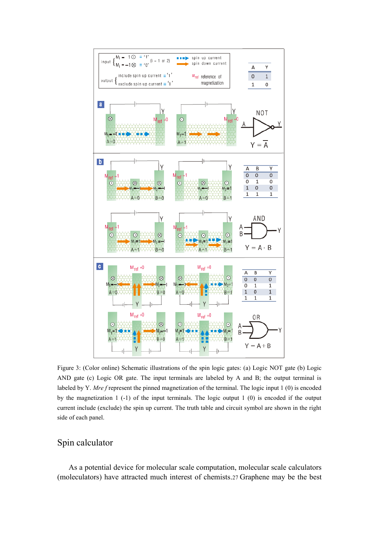

Figure 3: (Color online) Schematic illustrations of the spin logic gates: (a) Logic NOT gate (b) Logic AND gate (c) Logic OR gate. The input terminals are labeled by A and B; the output terminal is labeled by Y. *Mre f* represent the pinned magnetization of the terminal. The logic input 1 (0) is encoded by the magnetization 1 (-1) of the input terminals. The logic output 1 (0) is encoded if the output current include (exclude) the spin up current. The truth table and circuit symbol are shown in the right side of each panel.

### Spin calculator

As a potential device for molecular scale computation, molecular scale calculators (moleculators) have attracted much interest of chemists.27 Graphene may be the best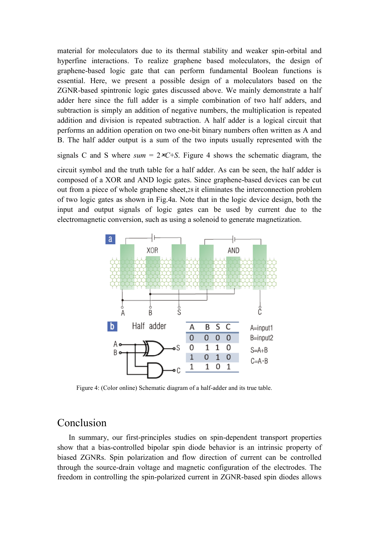material for moleculators due to its thermal stability and weaker spin-orbital and hyperfine interactions. To realize graphene based moleculators, the design of graphene-based logic gate that can perform fundamental Boolean functions is essential. Here, we present a possible design of a moleculators based on the ZGNR-based spintronic logic gates discussed above. We mainly demonstrate a half adder here since the full adder is a simple combination of two half adders, and subtraction is simply an addition of negative numbers, the multiplication is repeated addition and division is repeated subtraction. A half adder is a logical circuit that performs an addition operation on two one-bit binary numbers often written as A and B. The half adder output is a sum of the two inputs usually represented with the

signals C and S where  $sum = 2 \times C + S$ . Figure 4 shows the schematic diagram, the

circuit symbol and the truth table for a half adder. As can be seen, the half adder is composed of a XOR and AND logic gates. Since graphene-based devices can be cut out from a piece of whole graphene sheet,28 it eliminates the interconnection problem of two logic gates as shown in Fig.4a. Note that in the logic device design, both the input and output signals of logic gates can be used by current due to the electromagnetic conversion, such as using a solenoid to generate magnetization.



Figure 4: (Color online) Schematic diagram of a half-adder and its true table.

## Conclusion

In summary, our first-principles studies on spin-dependent transport properties show that a bias-controlled bipolar spin diode behavior is an intrinsic property of biased ZGNRs. Spin polarization and flow direction of current can be controlled through the source-drain voltage and magnetic configuration of the electrodes. The freedom in controlling the spin-polarized current in ZGNR-based spin diodes allows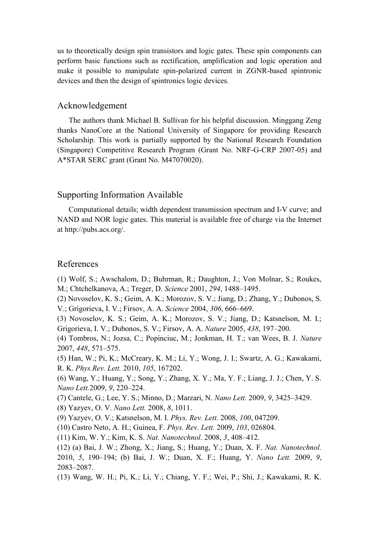us to theoretically design spin transistors and logic gates. These spin components can perform basic functions such as rectification, amplification and logic operation and make it possible to manipulate spin-polarized current in ZGNR-based spintronic devices and then the design of spintronics logic devices.

#### Acknowledgement

The authors thank Michael B. Sullivan for his helpful discussion. Minggang Zeng thanks NanoCore at the National University of Singapore for providing Research Scholarship. This work is partially supported by the National Research Foundation (Singapore) Competitive Research Program (Grant No. NRF-G-CRP 2007-05) and A\*STAR SERC grant (Grant No. M47070020).

#### Supporting Information Available

Computational details; width dependent transmission spectrum and I-V curve; and NAND and NOR logic gates. This material is available free of charge via the Internet at http://pubs.acs.org/.

#### References

(1) Wolf, S.; Awschalom, D.; Buhrman, R.; Daughton, J.; Von Molnar, S.; Roukes, M.; Chtchelkanova, A.; Treger, D. *Science* 2001, *294*, 1488–1495.

(2) Novoselov, K. S.; Geim, A. K.; Morozov, S. V.; Jiang, D.; Zhang, Y.; Dubonos, S.

V.; Grigorieva, I. V.; Firsov, A. A. *Science* 2004, *306*, 666–669.

(3) Novoselov, K. S.; Geim, A. K.; Morozov, S. V.; Jiang, D.; Katsnelson, M. I.; Grigorieva, I. V.; Dubonos, S. V.; Firsov, A. A. *Nature* 2005, *438*, 197–200.

(4) Tombros, N.; Jozsa, C.; Popinciuc, M.; Jonkman, H. T.; van Wees, B. J. *Nature*  2007, *448*, 571–575.

(5) Han, W.; Pi, K.; McCreary, K. M.; Li, Y.; Wong, J. I.; Swartz, A. G.; Kawakami, R. K. *Phys.Rev. Lett.* 2010, *105*, 167202.

(6) Wang, Y.; Huang, Y.; Song, Y.; Zhang, X. Y.; Ma, Y. F.; Liang, J. J.; Chen, Y. S. *Nano Lett.*2009, *9*, 220–224.

(7) Cantele, G.; Lee, Y. S.; Minno, D.; Marzari, N. *Nano Lett.* 2009, *9*, 3425–3429.

(8) Yazyev, O. V. *Nano Lett.* 2008, *8*, 1011.

(9) Yazyev, O. V.; Katsnelson, M. I. *Phys. Rev. Lett.* 2008, *100*, 047209.

(10) Castro Neto, A. H.; Guinea, F. *Phys. Rev. Lett.* 2009, *103*, 026804.

(11) Kim, W. Y.; Kim, K. S. *Nat. Nanotechnol.* 2008, *3*, 408–412.

(12) (a) Bai, J. W.; Zhong, X.; Jiang, S.; Huang, Y.; Duan, X. F. *Nat. Nanotechnol.*  2010, *5*, 190–194; (b) Bai, J. W.; Duan, X. F.; Huang, Y. *Nano Lett.* 2009, *9*, 2083–2087.

(13) Wang, W. H.; Pi, K.; Li, Y.; Chiang, Y. F.; Wei, P.; Shi, J.; Kawakami, R. K.